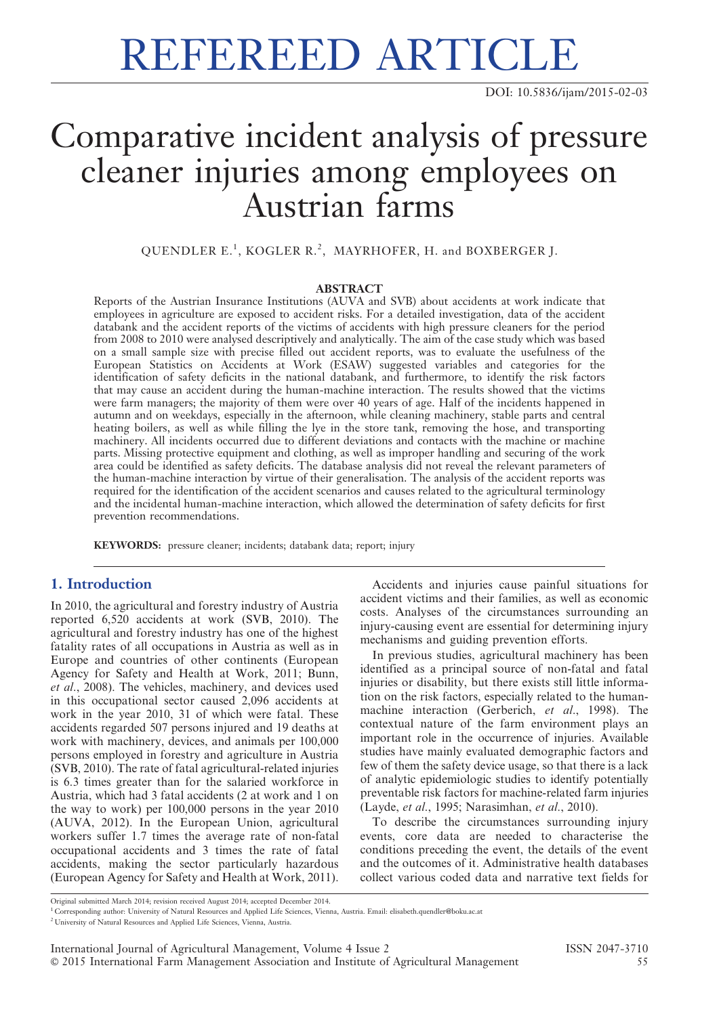# REFEREED ARTICLE

# Comparative incident analysis of pressure cleaner injuries among employees on Austrian farms

QUENDLER E.<sup>1</sup>, KOGLER R.<sup>2</sup>, MAYRHOFER, H. and BOXBERGER J.

#### ABSTRACT

Reports of the Austrian Insurance Institutions (AUVA and SVB) about accidents at work indicate that employees in agriculture are exposed to accident risks. For a detailed investigation, data of the accident databank and the accident reports of the victims of accidents with high pressure cleaners for the period from 2008 to 2010 were analysed descriptively and analytically. The aim of the case study which was based on a small sample size with precise filled out accident reports, was to evaluate the usefulness of the European Statistics on Accidents at Work (ESAW) suggested variables and categories for the identification of safety deficits in the national databank, and furthermore, to identify the risk factors that may cause an accident during the human-machine interaction. The results showed that the victims were farm managers; the majority of them were over 40 years of age. Half of the incidents happened in autumn and on weekdays, especially in the afternoon, while cleaning machinery, stable parts and central heating boilers, as well as while filling the lye in the store tank, removing the hose, and transporting machinery. All incidents occurred due to different deviations and contacts with the machine or machine parts. Missing protective equipment and clothing, as well as improper handling and securing of the work area could be identified as safety deficits. The database analysis did not reveal the relevant parameters of the human-machine interaction by virtue of their generalisation. The analysis of the accident reports was required for the identification of the accident scenarios and causes related to the agricultural terminology and the incidental human-machine interaction, which allowed the determination of safety deficits for first prevention recommendations.

KEYWORDS: pressure cleaner; incidents; databank data; report; injury

#### 1. Introduction

In 2010, the agricultural and forestry industry of Austria reported 6,520 accidents at work (SVB, 2010). The agricultural and forestry industry has one of the highest fatality rates of all occupations in Austria as well as in Europe and countries of other continents (European Agency for Safety and Health at Work, 2011; Bunn, et al., 2008). The vehicles, machinery, and devices used in this occupational sector caused 2,096 accidents at work in the year 2010, 31 of which were fatal. These accidents regarded 507 persons injured and 19 deaths at work with machinery, devices, and animals per 100,000 persons employed in forestry and agriculture in Austria (SVB, 2010). The rate of fatal agricultural-related injuries is 6.3 times greater than for the salaried workforce in Austria, which had 3 fatal accidents (2 at work and 1 on the way to work) per 100,000 persons in the year 2010 (AUVA, 2012). In the European Union, agricultural workers suffer 1.7 times the average rate of non-fatal occupational accidents and 3 times the rate of fatal accidents, making the sector particularly hazardous (European Agency for Safety and Health at Work, 2011).

Accidents and injuries cause painful situations for accident victims and their families, as well as economic costs. Analyses of the circumstances surrounding an injury-causing event are essential for determining injury mechanisms and guiding prevention efforts.

In previous studies, agricultural machinery has been identified as a principal source of non-fatal and fatal injuries or disability, but there exists still little information on the risk factors, especially related to the humanmachine interaction (Gerberich, et al., 1998). The contextual nature of the farm environment plays an important role in the occurrence of injuries. Available studies have mainly evaluated demographic factors and few of them the safety device usage, so that there is a lack of analytic epidemiologic studies to identify potentially preventable risk factors for machine-related farm injuries (Layde, et al., 1995; Narasimhan, et al., 2010).

To describe the circumstances surrounding injury events, core data are needed to characterise the conditions preceding the event, the details of the event and the outcomes of it. Administrative health databases collect various coded data and narrative text fields for

Original submitted March 2014; revision received August 2014; accepted December 2014.

<sup>1</sup> Corresponding author: University of Natural Resources and Applied Life Sciences, Vienna, Austria. Email: elisabeth.quendler@boku.ac.at

<sup>2</sup> University of Natural Resources and Applied Life Sciences, Vienna, Austria.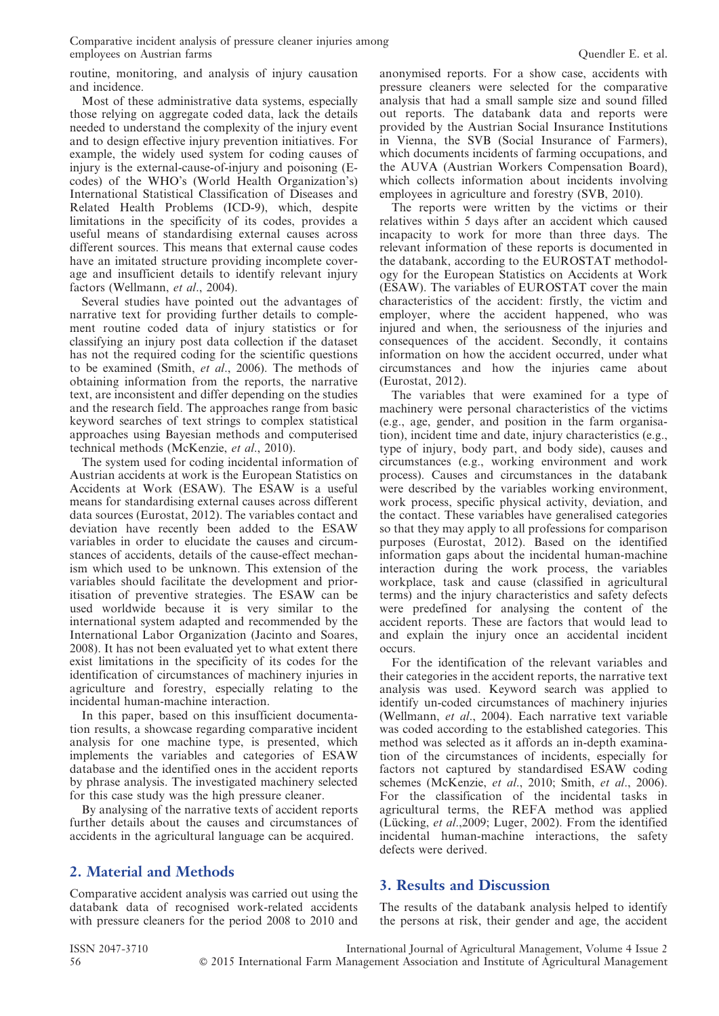routine, monitoring, and analysis of injury causation and incidence.

Most of these administrative data systems, especially those relying on aggregate coded data, lack the details needed to understand the complexity of the injury event and to design effective injury prevention initiatives. For example, the widely used system for coding causes of injury is the external-cause-of-injury and poisoning (Ecodes) of the WHO's (World Health Organization's) International Statistical Classification of Diseases and Related Health Problems (ICD-9), which, despite limitations in the specificity of its codes, provides a useful means of standardising external causes across different sources. This means that external cause codes have an imitated structure providing incomplete coverage and insufficient details to identify relevant injury factors (Wellmann, et al., 2004).

Several studies have pointed out the advantages of narrative text for providing further details to complement routine coded data of injury statistics or for classifying an injury post data collection if the dataset has not the required coding for the scientific questions to be examined (Smith, et al., 2006). The methods of obtaining information from the reports, the narrative text, are inconsistent and differ depending on the studies and the research field. The approaches range from basic keyword searches of text strings to complex statistical approaches using Bayesian methods and computerised technical methods (McKenzie, et al., 2010).

The system used for coding incidental information of Austrian accidents at work is the European Statistics on Accidents at Work (ESAW). The ESAW is a useful means for standardising external causes across different data sources (Eurostat, 2012). The variables contact and deviation have recently been added to the ESAW variables in order to elucidate the causes and circumstances of accidents, details of the cause-effect mechanism which used to be unknown. This extension of the variables should facilitate the development and prioritisation of preventive strategies. The ESAW can be used worldwide because it is very similar to the international system adapted and recommended by the International Labor Organization (Jacinto and Soares, 2008). It has not been evaluated yet to what extent there exist limitations in the specificity of its codes for the identification of circumstances of machinery injuries in agriculture and forestry, especially relating to the incidental human-machine interaction.

In this paper, based on this insufficient documentation results, a showcase regarding comparative incident analysis for one machine type, is presented, which implements the variables and categories of ESAW database and the identified ones in the accident reports by phrase analysis. The investigated machinery selected for this case study was the high pressure cleaner.

By analysing of the narrative texts of accident reports further details about the causes and circumstances of accidents in the agricultural language can be acquired.

## 2. Material and Methods

Comparative accident analysis was carried out using the databank data of recognised work-related accidents with pressure cleaners for the period 2008 to 2010 and anonymised reports. For a show case, accidents with pressure cleaners were selected for the comparative analysis that had a small sample size and sound filled out reports. The databank data and reports were provided by the Austrian Social Insurance Institutions in Vienna, the SVB (Social Insurance of Farmers), which documents incidents of farming occupations, and the AUVA (Austrian Workers Compensation Board), which collects information about incidents involving employees in agriculture and forestry (SVB, 2010).

The reports were written by the victims or their relatives within 5 days after an accident which caused incapacity to work for more than three days. The relevant information of these reports is documented in the databank, according to the EUROSTAT methodology for the European Statistics on Accidents at Work (ESAW). The variables of EUROSTAT cover the main characteristics of the accident: firstly, the victim and employer, where the accident happened, who was injured and when, the seriousness of the injuries and consequences of the accident. Secondly, it contains information on how the accident occurred, under what circumstances and how the injuries came about (Eurostat, 2012).

The variables that were examined for a type of machinery were personal characteristics of the victims (e.g., age, gender, and position in the farm organisation), incident time and date, injury characteristics (e.g., type of injury, body part, and body side), causes and circumstances (e.g., working environment and work process). Causes and circumstances in the databank were described by the variables working environment, work process, specific physical activity, deviation, and the contact. These variables have generalised categories so that they may apply to all professions for comparison purposes (Eurostat, 2012). Based on the identified information gaps about the incidental human-machine interaction during the work process, the variables workplace, task and cause (classified in agricultural terms) and the injury characteristics and safety defects were predefined for analysing the content of the accident reports. These are factors that would lead to and explain the injury once an accidental incident occurs.

For the identification of the relevant variables and their categories in the accident reports, the narrative text analysis was used. Keyword search was applied to identify un-coded circumstances of machinery injuries (Wellmann, et al., 2004). Each narrative text variable was coded according to the established categories. This method was selected as it affords an in-depth examination of the circumstances of incidents, especially for factors not captured by standardised ESAW coding schemes (McKenzie, et al., 2010; Smith, et al., 2006). For the classification of the incidental tasks in agricultural terms, the REFA method was applied (Lücking, et al., 2009; Luger, 2002). From the identified incidental human-machine interactions, the safety defects were derived.

### 3. Results and Discussion

The results of the databank analysis helped to identify the persons at risk, their gender and age, the accident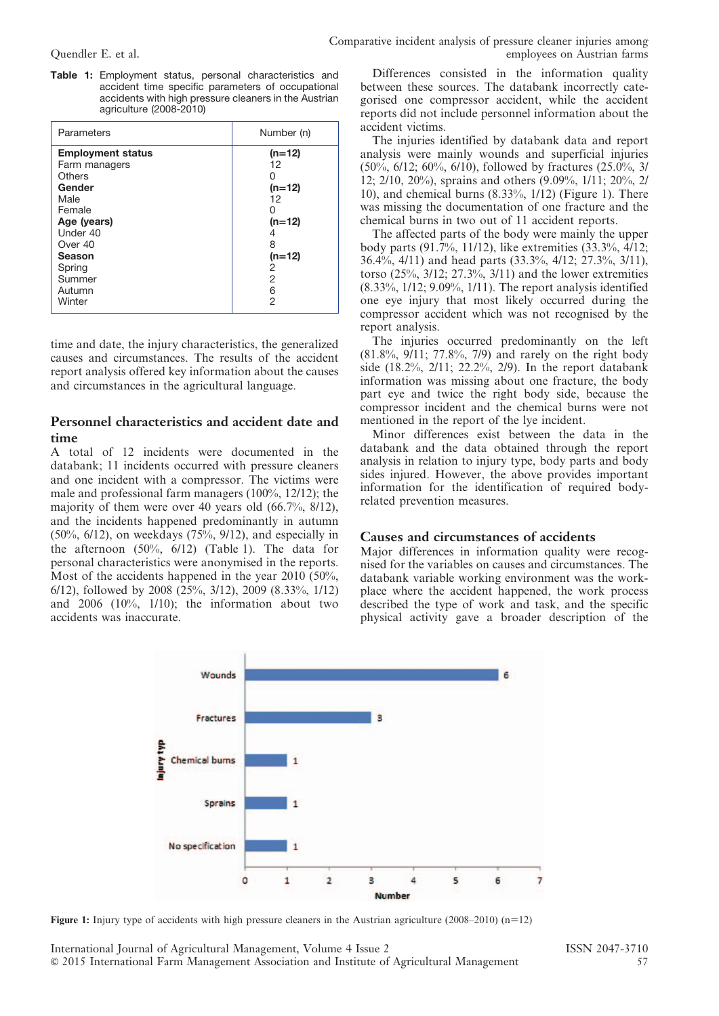Table 1: Employment status, personal characteristics and accident time specific parameters of occupational accidents with high pressure cleaners in the Austrian agriculture (2008-2010)

| Parameters                                                                                                                                                              | Number (n)                                                                             |
|-------------------------------------------------------------------------------------------------------------------------------------------------------------------------|----------------------------------------------------------------------------------------|
| <b>Employment status</b><br>Farm managers<br>Others<br>Gender<br>Male<br>Female<br>Age (years)<br>Under 40<br>Over 40<br>Season<br>Spring<br>Summer<br>Autumn<br>Winter | $(n=12)$<br>12<br>$(n=12)$<br>12<br>$(n=12)$<br>4<br>8<br>$(n=12)$<br>2<br>2<br>6<br>2 |

time and date, the injury characteristics, the generalized causes and circumstances. The results of the accident report analysis offered key information about the causes and circumstances in the agricultural language.

#### Personnel characteristics and accident date and time

A total of 12 incidents were documented in the databank; 11 incidents occurred with pressure cleaners and one incident with a compressor. The victims were male and professional farm managers (100%, 12/12); the majority of them were over 40 years old (66.7%, 8/12), and the incidents happened predominantly in autumn (50%, 6/12), on weekdays (75%, 9/12), and especially in the afternoon (50%, 6/12) (Table 1). The data for personal characteristics were anonymised in the reports. Most of the accidents happened in the year  $2010$  (50%, 6/12), followed by 2008 (25%, 3/12), 2009 (8.33%, 1/12) and 2006 (10%, 1/10); the information about two accidents was inaccurate.

Differences consisted in the information quality between these sources. The databank incorrectly categorised one compressor accident, while the accident reports did not include personnel information about the accident victims.

The injuries identified by databank data and report analysis were mainly wounds and superficial injuries  $(50\%, 6/12; 60\%, 6/10)$ , followed by fractures  $(25.0\%, 3/10)$ 12; 2/10, 20%), sprains and others (9.09%, 1/11; 20%, 2/ 10), and chemical burns (8.33%, 1/12) (Figure 1). There was missing the documentation of one fracture and the chemical burns in two out of 11 accident reports.

The affected parts of the body were mainly the upper body parts (91.7%, 11/12), like extremities  $(33.3\%, \frac{1}{12})$ ; 36.4%, 4/11) and head parts (33.3%, 4/12; 27.3%, 3/11), torso  $(25\%, 3/12; 27.3\%, 3/11)$  and the lower extremities (8.33%, 1/12; 9.09%, 1/11). The report analysis identified one eye injury that most likely occurred during the compressor accident which was not recognised by the report analysis.

The injuries occurred predominantly on the left (81.8%, 9/11; 77.8%, 7/9) and rarely on the right body side (18.2%, 2/11; 22.2%, 2/9). In the report databank information was missing about one fracture, the body part eye and twice the right body side, because the compressor incident and the chemical burns were not mentioned in the report of the lye incident.

Minor differences exist between the data in the databank and the data obtained through the report analysis in relation to injury type, body parts and body sides injured. However, the above provides important information for the identification of required bodyrelated prevention measures.

#### Causes and circumstances of accidents

Major differences in information quality were recognised for the variables on causes and circumstances. The databank variable working environment was the workplace where the accident happened, the work process described the type of work and task, and the specific physical activity gave a broader description of the



Figure 1: Injury type of accidents with high pressure cleaners in the Austrian agriculture (2008–2010) (n=12)

International Journal of Agricultural Management, Volume 4 Issue 2 ISSN 2047-3710 ' 2015 International Farm Management Association and Institute of Agricultural Management 57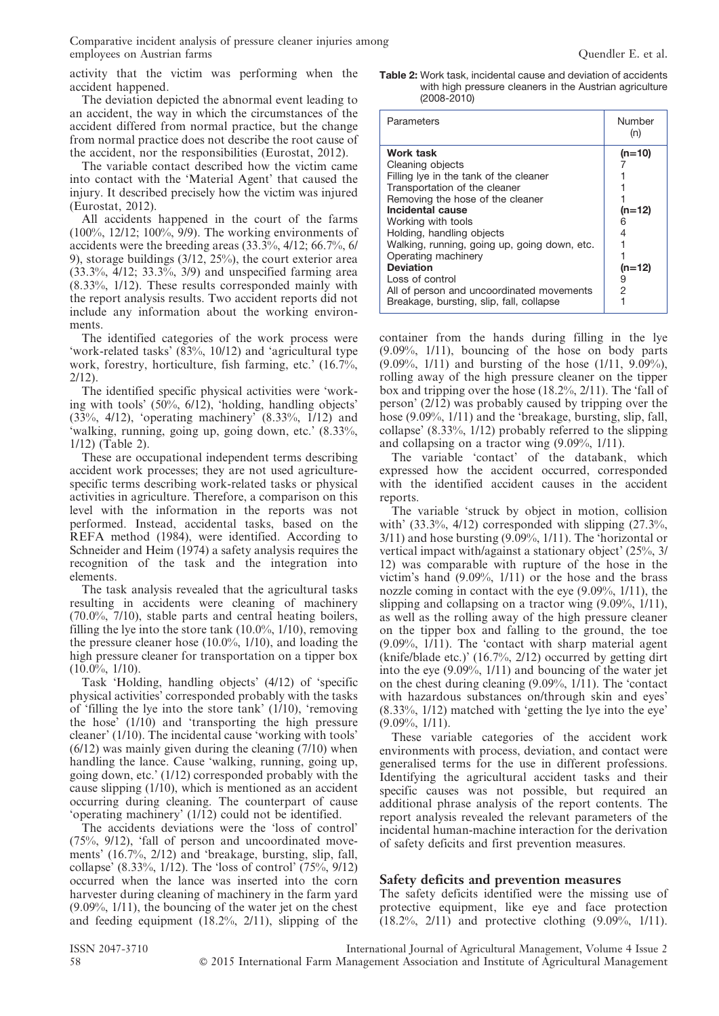activity that the victim was performing when the accident happened.

The deviation depicted the abnormal event leading to an accident, the way in which the circumstances of the accident differed from normal practice, but the change from normal practice does not describe the root cause of the accident, nor the responsibilities (Eurostat, 2012).

The variable contact described how the victim came into contact with the 'Material Agent' that caused the injury. It described precisely how the victim was injured (Eurostat, 2012).

All accidents happened in the court of the farms (100%, 12/12; 100%, 9/9). The working environments of accidents were the breeding areas (33.3%, 4/12; 66.7%, 6/ 9), storage buildings (3/12, 25%), the court exterior area (33.3%, 4/12; 33.3%, 3/9) and unspecified farming area (8.33%, 1/12). These results corresponded mainly with the report analysis results. Two accident reports did not include any information about the working environments.

The identified categories of the work process were 'work-related tasks' (83%, 10/12) and 'agricultural type work, forestry, horticulture, fish farming, etc.' (16.7%, 2/12).

The identified specific physical activities were 'working with tools' (50%, 6/12), 'holding, handling objects' (33%, 4/12), 'operating machinery' (8.33%, 1/12) and 'walking, running, going up, going down, etc.' (8.33%, 1/12) (Table 2).

These are occupational independent terms describing accident work processes; they are not used agriculturespecific terms describing work-related tasks or physical activities in agriculture. Therefore, a comparison on this level with the information in the reports was not performed. Instead, accidental tasks, based on the REFA method (1984), were identified. According to Schneider and Heim (1974) a safety analysis requires the recognition of the task and the integration into elements.

The task analysis revealed that the agricultural tasks resulting in accidents were cleaning of machinery (70.0%, 7/10), stable parts and central heating boilers, filling the lye into the store tank  $(10.0\%, 1/10)$ , removing the pressure cleaner hose (10.0%, 1/10), and loading the high pressure cleaner for transportation on a tipper box  $(10.0\%, 1/10)$ .

Task 'Holding, handling objects' (4/12) of 'specific physical activities' corresponded probably with the tasks of 'filling the lye into the store tank' (1/10), 'removing the hose' (1/10) and 'transporting the high pressure cleaner' (1/10). The incidental cause 'working with tools' (6/12) was mainly given during the cleaning (7/10) when handling the lance. Cause 'walking, running, going up, going down, etc.' (1/12) corresponded probably with the cause slipping (1/10), which is mentioned as an accident occurring during cleaning. The counterpart of cause 'operating machinery' (1/12) could not be identified.

The accidents deviations were the 'loss of control' (75%, 9/12), 'fall of person and uncoordinated movements' (16.7%, 2/12) and 'breakage, bursting, slip, fall, collapse' (8.33%, 1/12). The 'loss of control' (75%, 9/12) occurred when the lance was inserted into the corn harvester during cleaning of machinery in the farm yard (9.09%, 1/11), the bouncing of the water jet on the chest and feeding equipment (18.2%, 2/11), slipping of the

Table 2: Work task, incidental cause and deviation of accidents with high pressure cleaners in the Austrian agriculture (2008-2010)

| Parameters                                                                                                                                                                                                                                                                                                                                                                                                                 | Number<br>(n)                              |
|----------------------------------------------------------------------------------------------------------------------------------------------------------------------------------------------------------------------------------------------------------------------------------------------------------------------------------------------------------------------------------------------------------------------------|--------------------------------------------|
| Work task<br>Cleaning objects<br>Filling Iye in the tank of the cleaner<br>Transportation of the cleaner<br>Removing the hose of the cleaner<br>Incidental cause<br>Working with tools<br>Holding, handling objects<br>Walking, running, going up, going down, etc.<br>Operating machinery<br><b>Deviation</b><br>Loss of control<br>All of person and uncoordinated movements<br>Breakage, bursting, slip, fall, collapse | $(n=10)$<br>$(n=12)$<br>$(n=12)$<br>9<br>2 |

container from the hands during filling in the lye (9.09%, 1/11), bouncing of the hose on body parts (9.09%, 1/11) and bursting of the hose (1/11, 9.09%), rolling away of the high pressure cleaner on the tipper box and tripping over the hose (18.2%, 2/11). The 'fall of person' (2/12) was probably caused by tripping over the hose (9.09%, 1/11) and the 'breakage, bursting, slip, fall, collapse' (8.33%, 1/12) probably referred to the slipping and collapsing on a tractor wing (9.09%, 1/11).

The variable 'contact' of the databank, which expressed how the accident occurred, corresponded with the identified accident causes in the accident reports.

The variable 'struck by object in motion, collision with'  $(33.3\%, 4/12)$  corresponded with slipping  $(27.3\%,$  $3/11$ ) and hose bursting  $(9.09\%, 1/11)$ . The 'horizontal or vertical impact with/against a stationary object' (25%, 3/ 12) was comparable with rupture of the hose in the victim's hand (9.09%, 1/11) or the hose and the brass nozzle coming in contact with the eye (9.09%, 1/11), the slipping and collapsing on a tractor wing (9.09%, 1/11), as well as the rolling away of the high pressure cleaner on the tipper box and falling to the ground, the toe (9.09%, 1/11). The 'contact with sharp material agent (knife/blade etc.)' (16.7%, 2/12) occurred by getting dirt into the eye (9.09%, 1/11) and bouncing of the water jet on the chest during cleaning (9.09%, 1/11). The 'contact with hazardous substances on/through skin and eyes' (8.33%, 1/12) matched with 'getting the lye into the eye'  $(9.09\%, 1/11).$ 

These variable categories of the accident work environments with process, deviation, and contact were generalised terms for the use in different professions. Identifying the agricultural accident tasks and their specific causes was not possible, but required an additional phrase analysis of the report contents. The report analysis revealed the relevant parameters of the incidental human-machine interaction for the derivation of safety deficits and first prevention measures.

#### Safety deficits and prevention measures

The safety deficits identified were the missing use of protective equipment, like eye and face protection (18.2%, 2/11) and protective clothing (9.09%, 1/11).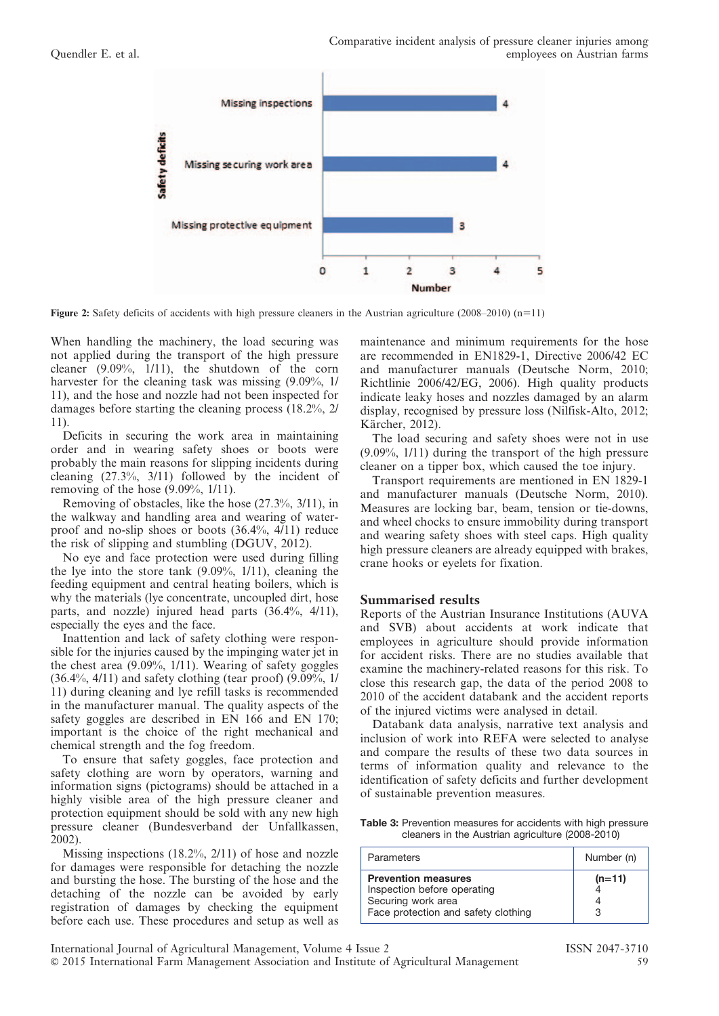

Figure 2: Safety deficits of accidents with high pressure cleaners in the Austrian agriculture (2008–2010) (n=11)

When handling the machinery, the load securing was not applied during the transport of the high pressure cleaner (9.09%, 1/11), the shutdown of the corn harvester for the cleaning task was missing  $(9.09\%, 1/$ 11), and the hose and nozzle had not been inspected for damages before starting the cleaning process (18.2%, 2/ 11).

Deficits in securing the work area in maintaining order and in wearing safety shoes or boots were probably the main reasons for slipping incidents during cleaning (27.3%, 3/11) followed by the incident of removing of the hose (9.09%, 1/11).

Removing of obstacles, like the hose (27.3%, 3/11), in the walkway and handling area and wearing of waterproof and no-slip shoes or boots (36.4%, 4/11) reduce the risk of slipping and stumbling (DGUV, 2012).

No eye and face protection were used during filling the lye into the store tank (9.09%, 1/11), cleaning the feeding equipment and central heating boilers, which is why the materials (lye concentrate, uncoupled dirt, hose parts, and nozzle) injured head parts (36.4%, 4/11), especially the eyes and the face.

Inattention and lack of safety clothing were responsible for the injuries caused by the impinging water jet in the chest area (9.09%, 1/11). Wearing of safety goggles (36.4%, 4/11) and safety clothing (tear proof) (9.09%, 1/ 11) during cleaning and lye refill tasks is recommended in the manufacturer manual. The quality aspects of the safety goggles are described in EN 166 and EN 170; important is the choice of the right mechanical and chemical strength and the fog freedom.

To ensure that safety goggles, face protection and safety clothing are worn by operators, warning and information signs (pictograms) should be attached in a highly visible area of the high pressure cleaner and protection equipment should be sold with any new high pressure cleaner (Bundesverband der Unfallkassen, 2002).

Missing inspections (18.2%, 2/11) of hose and nozzle for damages were responsible for detaching the nozzle and bursting the hose. The bursting of the hose and the detaching of the nozzle can be avoided by early registration of damages by checking the equipment before each use. These procedures and setup as well as

maintenance and minimum requirements for the hose are recommended in EN1829-1, Directive 2006/42 EC and manufacturer manuals (Deutsche Norm, 2010; Richtlinie 2006/42/EG, 2006). High quality products indicate leaky hoses and nozzles damaged by an alarm display, recognised by pressure loss (Nilfisk-Alto, 2012; Kärcher, 2012).

The load securing and safety shoes were not in use (9.09%, 1/11) during the transport of the high pressure cleaner on a tipper box, which caused the toe injury.

Transport requirements are mentioned in EN 1829-1 and manufacturer manuals (Deutsche Norm, 2010). Measures are locking bar, beam, tension or tie-downs, and wheel chocks to ensure immobility during transport and wearing safety shoes with steel caps. High quality high pressure cleaners are already equipped with brakes, crane hooks or eyelets for fixation.

#### Summarised results

Reports of the Austrian Insurance Institutions (AUVA and SVB) about accidents at work indicate that employees in agriculture should provide information for accident risks. There are no studies available that examine the machinery-related reasons for this risk. To close this research gap, the data of the period 2008 to 2010 of the accident databank and the accident reports of the injured victims were analysed in detail.

Databank data analysis, narrative text analysis and inclusion of work into REFA were selected to analyse and compare the results of these two data sources in terms of information quality and relevance to the identification of safety deficits and further development of sustainable prevention measures.

Table 3: Prevention measures for accidents with high pressure cleaners in the Austrian agriculture (2008-2010)

| Parameters                                                                                                             | Number (n) |
|------------------------------------------------------------------------------------------------------------------------|------------|
| <b>Prevention measures</b><br>Inspection before operating<br>Securing work area<br>Face protection and safety clothing | $(n=11)$   |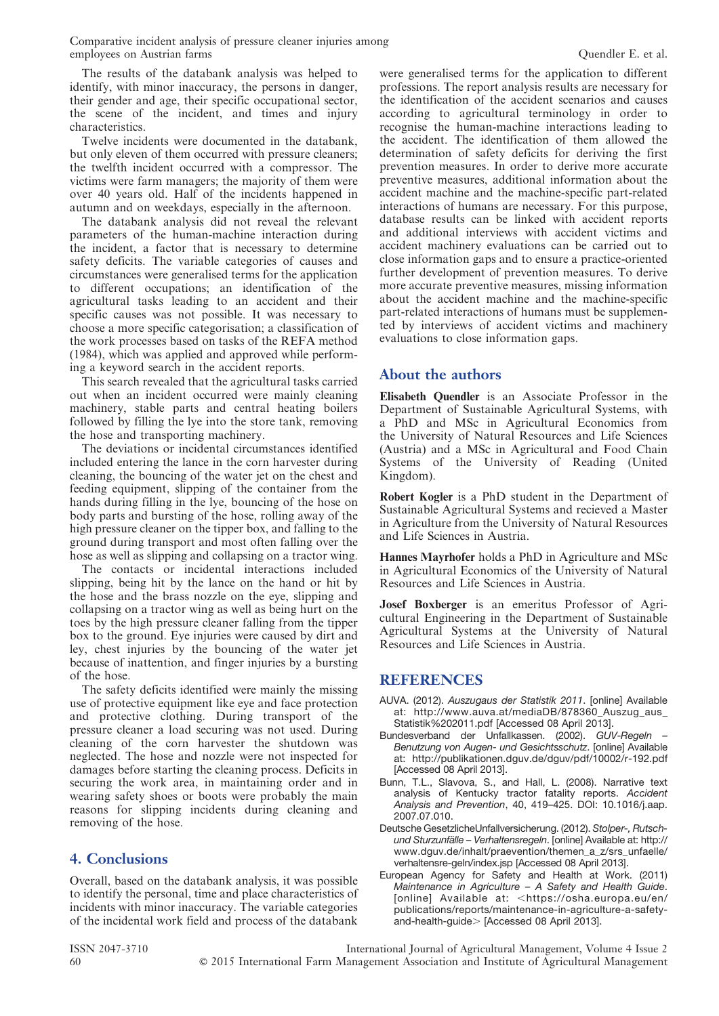The results of the databank analysis was helped to identify, with minor inaccuracy, the persons in danger, their gender and age, their specific occupational sector, the scene of the incident, and times and injury characteristics.

Twelve incidents were documented in the databank, but only eleven of them occurred with pressure cleaners; the twelfth incident occurred with a compressor. The victims were farm managers; the majority of them were over 40 years old. Half of the incidents happened in autumn and on weekdays, especially in the afternoon.

The databank analysis did not reveal the relevant parameters of the human-machine interaction during the incident, a factor that is necessary to determine safety deficits. The variable categories of causes and circumstances were generalised terms for the application to different occupations; an identification of the agricultural tasks leading to an accident and their specific causes was not possible. It was necessary to choose a more specific categorisation; a classification of the work processes based on tasks of the REFA method (1984), which was applied and approved while performing a keyword search in the accident reports.

This search revealed that the agricultural tasks carried out when an incident occurred were mainly cleaning machinery, stable parts and central heating boilers followed by filling the lye into the store tank, removing the hose and transporting machinery.

The deviations or incidental circumstances identified included entering the lance in the corn harvester during cleaning, the bouncing of the water jet on the chest and feeding equipment, slipping of the container from the hands during filling in the lye, bouncing of the hose on body parts and bursting of the hose, rolling away of the high pressure cleaner on the tipper box, and falling to the ground during transport and most often falling over the hose as well as slipping and collapsing on a tractor wing.

The contacts or incidental interactions included slipping, being hit by the lance on the hand or hit by the hose and the brass nozzle on the eye, slipping and collapsing on a tractor wing as well as being hurt on the toes by the high pressure cleaner falling from the tipper box to the ground. Eye injuries were caused by dirt and ley, chest injuries by the bouncing of the water jet because of inattention, and finger injuries by a bursting of the hose.

The safety deficits identified were mainly the missing use of protective equipment like eye and face protection and protective clothing. During transport of the pressure cleaner a load securing was not used. During cleaning of the corn harvester the shutdown was neglected. The hose and nozzle were not inspected for damages before starting the cleaning process. Deficits in securing the work area, in maintaining order and in wearing safety shoes or boots were probably the main reasons for slipping incidents during cleaning and removing of the hose.

### 4. Conclusions

Overall, based on the databank analysis, it was possible to identify the personal, time and place characteristics of incidents with minor inaccuracy. The variable categories of the incidental work field and process of the databank were generalised terms for the application to different professions. The report analysis results are necessary for the identification of the accident scenarios and causes according to agricultural terminology in order to recognise the human-machine interactions leading to the accident. The identification of them allowed the determination of safety deficits for deriving the first prevention measures. In order to derive more accurate preventive measures, additional information about the accident machine and the machine-specific part-related interactions of humans are necessary. For this purpose, database results can be linked with accident reports and additional interviews with accident victims and accident machinery evaluations can be carried out to close information gaps and to ensure a practice-oriented further development of prevention measures. To derive more accurate preventive measures, missing information about the accident machine and the machine-specific part-related interactions of humans must be supplemented by interviews of accident victims and machinery evaluations to close information gaps.

### About the authors

Elisabeth Quendler is an Associate Professor in the Department of Sustainable Agricultural Systems, with a PhD and MSc in Agricultural Economics from the University of Natural Resources and Life Sciences (Austria) and a MSc in Agricultural and Food Chain Systems of the University of Reading (United Kingdom).

Robert Kogler is a PhD student in the Department of Sustainable Agricultural Systems and recieved a Master in Agriculture from the University of Natural Resources and Life Sciences in Austria.

Hannes Mayrhofer holds a PhD in Agriculture and MSc in Agricultural Economics of the University of Natural Resources and Life Sciences in Austria.

Josef Boxberger is an emeritus Professor of Agricultural Engineering in the Department of Sustainable Agricultural Systems at the University of Natural Resources and Life Sciences in Austria.

#### REFERENCES

- AUVA. (2012). Auszugaus der Statistik 2011. [online] Available at: http://www.auva.at/mediaDB/878360\_Auszug\_aus\_ Statistik%202011.pdf [Accessed 08 April 2013].
- Bundesverband der Unfallkassen. (2002). GUV-Regeln Benutzung von Augen- und Gesichtsschutz. [online] Available at: http://publikationen.dguv.de/dguv/pdf/10002/r-192.pdf [Accessed 08 April 2013].
- Bunn, T.L., Slavova, S., and Hall, L. (2008). Narrative text analysis of Kentucky tractor fatality reports. Accident Analysis and Prevention, 40, 419–425. DOI: 10.1016/j.aap. 2007.07.010.
- Deutsche GesetzlicheUnfallversicherung. (2012). Stolper-, Rutschund Sturzunfälle – Verhaltensregeln. [online] Available at: http:// www.dguv.de/inhalt/praevention/themen\_a\_z/srs\_unfaelle/ verhaltensre-geln/index.jsp [Accessed 08 April 2013].
- European Agency for Safety and Health at Work. (2011) Maintenance in Agriculture – A Safety and Health Guide. [online] Available at: <https://osha.europa.eu/en/ publications/reports/maintenance-in-agriculture-a-safetyand-health-guide > [Accessed 08 April 2013].